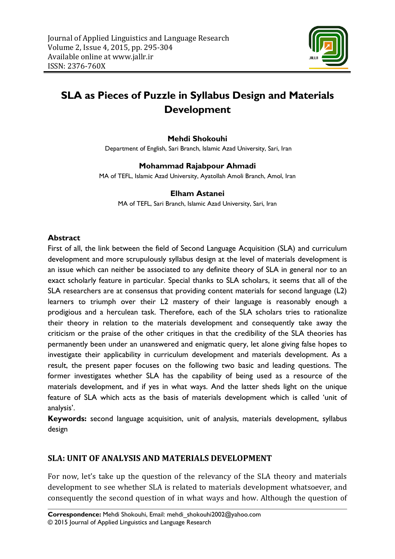

# **SLA as Pieces of Puzzle in Syllabus Design and Materials Development**

#### **Mehdi Shokouhi**

Department of English, Sari Branch, Islamic Azad University, Sari, Iran

#### **Mohammad Rajabpour Ahmadi**

MA of TEFL, Islamic Azad University, Ayatollah Amoli Branch, Amol, Iran

#### **Elham Astanei**

MA of TEFL, Sari Branch, Islamic Azad University, Sari, Iran

#### **Abstract**

First of all, the link between the field of Second Language Acquisition (SLA) and curriculum development and more scrupulously syllabus design at the level of materials development is an issue which can neither be associated to any definite theory of SLA in general nor to an exact scholarly feature in particular. Special thanks to SLA scholars, it seems that all of the SLA researchers are at consensus that providing content materials for second language (L2) learners to triumph over their L2 mastery of their language is reasonably enough a prodigious and a herculean task. Therefore, each of the SLA scholars tries to rationalize their theory in relation to the materials development and consequently take away the criticism or the praise of the other critiques in that the credibility of the SLA theories has permanently been under an unanswered and enigmatic query, let alone giving false hopes to investigate their applicability in curriculum development and materials development. As a result, the present paper focuses on the following two basic and leading questions. The former investigates whether SLA has the capability of being used as a resource of the materials development, and if yes in what ways. And the latter sheds light on the unique feature of SLA which acts as the basis of materials development which is called 'unit of analysis'.

**Keywords:** second language acquisition, unit of analysis, materials development, syllabus design

#### **SLA: UNIT OF ANALYSIS AND MATERIALS DEVELOPMENT**

For now, let's take up the question of the relevancy of the SLA theory and materials development to see whether SLA is related to materials development whatsoever, and consequently the second question of in what ways and how. Although the question of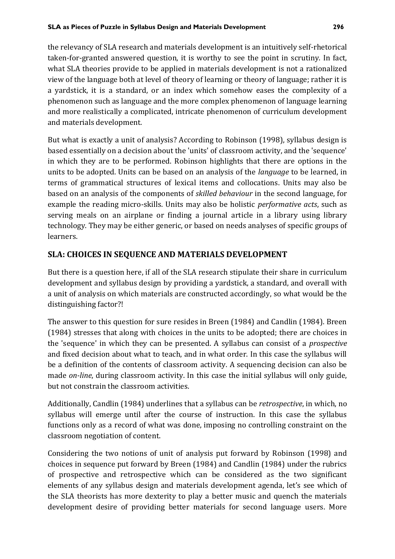the relevancy of SLA research and materials development is an intuitively self-rhetorical taken-for-granted answered question, it is worthy to see the point in scrutiny. In fact, what SLA theories provide to be applied in materials development is not a rationalized view of the language both at level of theory of learning or theory of language; rather it is a yardstick, it is a standard, or an index which somehow eases the complexity of a phenomenon such as language and the more complex phenomenon of language learning and more realistically a complicated, intricate phenomenon of curriculum development and materials development.

But what is exactly a unit of analysis? According to Robinson (1998), syllabus design is based essentially on a decision about the 'units' of classroom activity, and the 'sequence' in which they are to be performed. Robinson highlights that there are options in the units to be adopted. Units can be based on an analysis of the *language* to be learned, in terms of grammatical structures of lexical items and collocations. Units may also be based on an analysis of the components of *skilled behaviour* in the second language, for example the reading micro-skills. Units may also be holistic *performative acts*, such as serving meals on an airplane or finding a journal article in a library using library technology. They may be either generic, or based on needs analyses of specific groups of learners.

## **SLA: CHOICES IN SEQUENCE AND MATERIALS DEVELOPMENT**

But there is a question here, if all of the SLA research stipulate their share in curriculum development and syllabus design by providing a yardstick, a standard, and overall with a unit of analysis on which materials are constructed accordingly, so what would be the distinguishing factor?!

The answer to this question for sure resides in Breen (1984) and Candlin (1984). Breen (1984) stresses that along with choices in the units to be adopted; there are choices in the 'sequence' in which they can be presented. A syllabus can consist of a *prospective* and fixed decision about what to teach, and in what order. In this case the syllabus will be a definition of the contents of classroom activity. A sequencing decision can also be made *on-line*, during classroom activity. In this case the initial syllabus will only guide, but not constrain the classroom activities.

Additionally, Candlin (1984) underlines that a syllabus can be *retrospective*, in which, no syllabus will emerge until after the course of instruction. In this case the syllabus functions only as a record of what was done, imposing no controlling constraint on the classroom negotiation of content.

Considering the two notions of unit of analysis put forward by Robinson (1998) and choices in sequence put forward by Breen (1984) and Candlin (1984) under the rubrics of prospective and retrospective which can be considered as the two significant elements of any syllabus design and materials development agenda, let's see which of the SLA theorists has more dexterity to play a better music and quench the materials development desire of providing better materials for second language users. More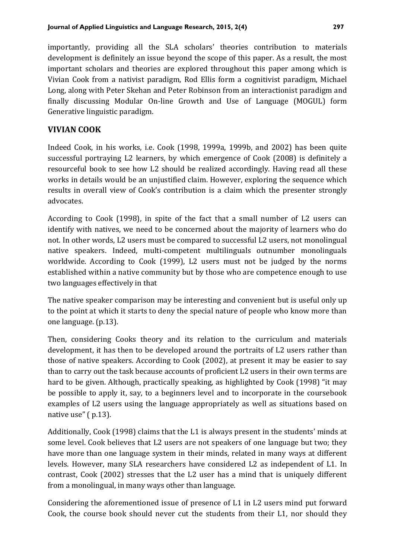importantly, providing all the SLA scholars' theories contribution to materials development is definitely an issue beyond the scope of this paper. As a result, the most important scholars and theories are explored throughout this paper among which is Vivian Cook from a nativist paradigm, Rod Ellis form a cognitivist paradigm, Michael Long, along with Peter Skehan and Peter Robinson from an interactionist paradigm and finally discussing Modular On-line Growth and Use of Language (MOGUL) form Generative linguistic paradigm.

### **VIVIAN COOK**

Indeed Cook, in his works, i.e. Cook (1998, 1999a, 1999b, and 2002) has been quite successful portraying L2 learners, by which emergence of Cook (2008) is definitely a resourceful book to see how L2 should be realized accordingly. Having read all these works in details would be an unjustified claim. However, exploring the sequence which results in overall view of Cook's contribution is a claim which the presenter strongly advocates.

According to Cook (1998), in spite of the fact that a small number of L2 users can identify with natives, we need to be concerned about the majority of learners who do not. In other words, L2 users must be compared to successful L2 users, not monolingual native speakers. Indeed, multi-competent multilinguals outnumber monolinguals worldwide. According to Cook (1999), L2 users must not be judged by the norms established within a native community but by those who are competence enough to use two languages effectively in that

The native speaker comparison may be interesting and convenient but is useful only up to the point at which it starts to deny the special nature of people who know more than one language. (p.13).

Then, considering Cooks theory and its relation to the curriculum and materials development, it has then to be developed around the portraits of L2 users rather than those of native speakers. According to Cook (2002), at present it may be easier to say than to carry out the task because accounts of proficient L2 users in their own terms are hard to be given. Although, practically speaking, as highlighted by Cook (1998) "it may be possible to apply it, say, to a beginners level and to incorporate in the coursebook examples of L2 users using the language appropriately as well as situations based on native use" ( p.13).

Additionally, Cook (1998) claims that the L1 is always present in the students' minds at some level. Cook believes that L2 users are not speakers of one language but two; they have more than one language system in their minds, related in many ways at different levels. However, many SLA researchers have considered L2 as independent of L1. In contrast, Cook (2002) stresses that the L2 user has a mind that is uniquely different from a monolingual, in many ways other than language.

Considering the aforementioned issue of presence of L1 in L2 users mind put forward Cook, the course book should never cut the students from their L1, nor should they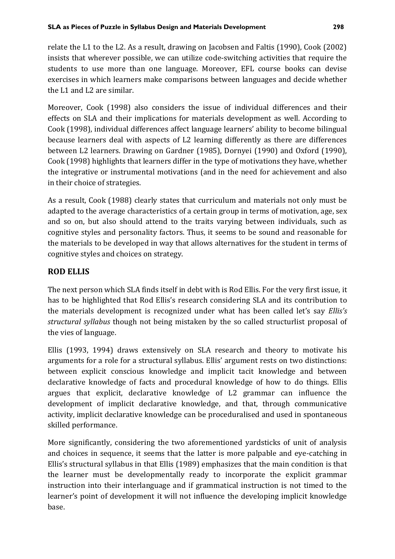relate the L1 to the L2. As a result, drawing on Jacobsen and Faltis (1990), Cook (2002) insists that wherever possible, we can utilize code-switching activities that require the students to use more than one language. Moreover, EFL course books can devise exercises in which learners make comparisons between languages and decide whether the L1 and L2 are similar.

Moreover, Cook (1998) also considers the issue of individual differences and their effects on SLA and their implications for materials development as well. According to Cook (1998), individual differences affect language learners' ability to become bilingual because learners deal with aspects of L2 learning differently as there are differences between L2 learners. Drawing on Gardner (1985), Dornyei (1990) and Oxford (1990), Cook (1998) highlights that learners differ in the type of motivations they have, whether the integrative or instrumental motivations (and in the need for achievement and also in their choice of strategies.

As a result, Cook (1988) clearly states that curriculum and materials not only must be adapted to the average characteristics of a certain group in terms of motivation, age, sex and so on, but also should attend to the traits varying between individuals, such as cognitive styles and personality factors. Thus, it seems to be sound and reasonable for the materials to be developed in way that allows alternatives for the student in terms of cognitive styles and choices on strategy.

## **ROD ELLIS**

The next person which SLA finds itself in debt with is Rod Ellis. For the very first issue, it has to be highlighted that Rod Ellis's research considering SLA and its contribution to the materials development is recognized under what has been called let's say *Ellis's structural syllabus* though not being mistaken by the so called structurlist proposal of the vies of language.

Ellis (1993, 1994) draws extensively on SLA research and theory to motivate his arguments for a role for a structural syllabus. Ellis' argument rests on two distinctions: between explicit conscious knowledge and implicit tacit knowledge and between declarative knowledge of facts and procedural knowledge of how to do things. Ellis argues that explicit, declarative knowledge of L2 grammar can influence the development of implicit declarative knowledge, and that, through communicative activity, implicit declarative knowledge can be proceduralised and used in spontaneous skilled performance.

More significantly, considering the two aforementioned yardsticks of unit of analysis and choices in sequence, it seems that the latter is more palpable and eye-catching in Ellis's structural syllabus in that Ellis (1989) emphasizes that the main condition is that the learner must be developmentally ready to incorporate the explicit grammar instruction into their interlanguage and if grammatical instruction is not timed to the learner's point of development it will not influence the developing implicit knowledge base.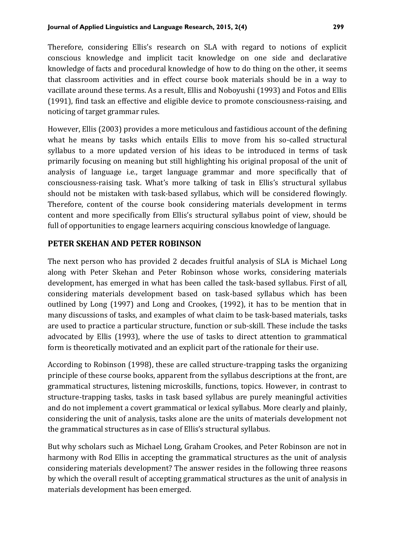Therefore, considering Ellis's research on SLA with regard to notions of explicit conscious knowledge and implicit tacit knowledge on one side and declarative knowledge of facts and procedural knowledge of how to do thing on the other, it seems that classroom activities and in effect course book materials should be in a way to vacillate around these terms. As a result, Ellis and Noboyushi (1993) and Fotos and Ellis (1991), find task an effective and eligible device to promote consciousness-raising, and noticing of target grammar rules.

However, Ellis (2003) provides a more meticulous and fastidious account of the defining what he means by tasks which entails Ellis to move from his so-called structural syllabus to a more updated version of his ideas to be introduced in terms of task primarily focusing on meaning but still highlighting his original proposal of the unit of analysis of language i.e., target language grammar and more specifically that of consciousness-raising task. What's more talking of task in Ellis's structural syllabus should not be mistaken with task-based syllabus, which will be considered flowingly. Therefore, content of the course book considering materials development in terms content and more specifically from Ellis's structural syllabus point of view, should be full of opportunities to engage learners acquiring conscious knowledge of language.

## **PETER SKEHAN AND PETER ROBINSON**

The next person who has provided 2 decades fruitful analysis of SLA is Michael Long along with Peter Skehan and Peter Robinson whose works, considering materials development, has emerged in what has been called the task-based syllabus. First of all, considering materials development based on task-based syllabus which has been outlined by Long (1997) and Long and Crookes, (1992), it has to be mention that in many discussions of tasks, and examples of what claim to be task-based materials, tasks are used to practice a particular structure, function or sub-skill. These include the tasks advocated by Ellis (1993), where the use of tasks to direct attention to grammatical form is theoretically motivated and an explicit part of the rationale for their use.

According to Robinson (1998), these are called structure-trapping tasks the organizing principle of these course books, apparent from the syllabus descriptions at the front, are grammatical structures, listening microskills, functions, topics. However, in contrast to structure-trapping tasks, tasks in task based syllabus are purely meaningful activities and do not implement a covert grammatical or lexical syllabus. More clearly and plainly, considering the unit of analysis, tasks alone are the units of materials development not the grammatical structures as in case of Ellis's structural syllabus.

But why scholars such as Michael Long, Graham Crookes, and Peter Robinson are not in harmony with Rod Ellis in accepting the grammatical structures as the unit of analysis considering materials development? The answer resides in the following three reasons by which the overall result of accepting grammatical structures as the unit of analysis in materials development has been emerged.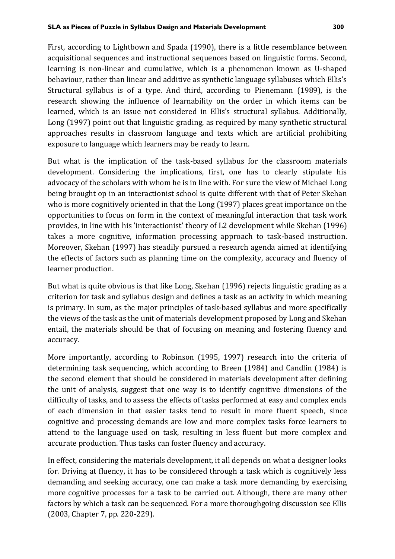First, according to Lightbown and Spada (1990), there is a little resemblance between acquisitional sequences and instructional sequences based on linguistic forms. Second, learning is non-linear and cumulative, which is a phenomenon known as U-shaped behaviour, rather than linear and additive as synthetic language syllabuses which Ellis's Structural syllabus is of a type. And third, according to Pienemann (1989), is the research showing the influence of learnability on the order in which items can be learned, which is an issue not considered in Ellis's structural syllabus. Additionally, Long (1997) point out that linguistic grading, as required by many synthetic structural approaches results in classroom language and texts which are artificial prohibiting exposure to language which learners may be ready to learn.

But what is the implication of the task-based syllabus for the classroom materials development. Considering the implications, first, one has to clearly stipulate his advocacy of the scholars with whom he is in line with. For sure the view of Michael Long being brought op in an interactionist school is quite different with that of Peter Skehan who is more cognitively oriented in that the Long (1997) places great importance on the opportunities to focus on form in the context of meaningful interaction that task work provides, in line with his 'interactionist' theory of L2 development while Skehan (1996) takes a more cognitive, information processing approach to task-based instruction. Moreover, Skehan (1997) has steadily pursued a research agenda aimed at identifying the effects of factors such as planning time on the complexity, accuracy and fluency of learner production.

But what is quite obvious is that like Long, Skehan (1996) rejects linguistic grading as a criterion for task and syllabus design and defines a task as an activity in which meaning is primary. In sum, as the major principles of task-based syllabus and more specifically the views of the task as the unit of materials development proposed by Long and Skehan entail, the materials should be that of focusing on meaning and fostering fluency and accuracy.

More importantly, according to Robinson (1995, 1997) research into the criteria of determining task sequencing, which according to Breen (1984) and Candlin (1984) is the second element that should be considered in materials development after defining the unit of analysis, suggest that one way is to identify cognitive dimensions of the difficulty of tasks, and to assess the effects of tasks performed at easy and complex ends of each dimension in that easier tasks tend to result in more fluent speech, since cognitive and processing demands are low and more complex tasks force learners to attend to the language used on task, resulting in less fluent but more complex and accurate production. Thus tasks can foster fluency and accuracy.

In effect, considering the materials development, it all depends on what a designer looks for. Driving at fluency, it has to be considered through a task which is cognitively less demanding and seeking accuracy, one can make a task more demanding by exercising more cognitive processes for a task to be carried out. Although, there are many other factors by which a task can be sequenced. For a more thoroughgoing discussion see Ellis (2003, Chapter 7, pp. 220-229).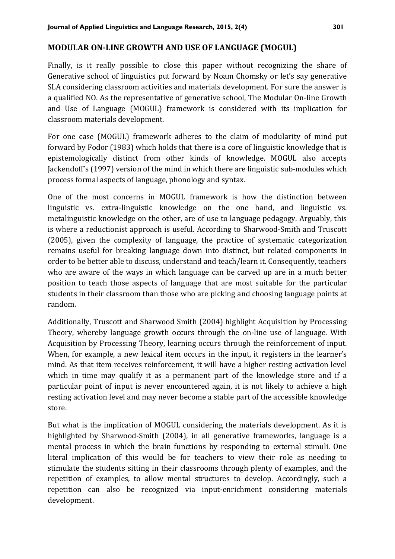#### **MODULAR ON-LINE GROWTH AND USE OF LANGUAGE (MOGUL)**

Finally, is it really possible to close this paper without recognizing the share of Generative school of linguistics put forward by Noam Chomsky or let's say generative SLA considering classroom activities and materials development. For sure the answer is a qualified NO. As the representative of generative school, The Modular On-line Growth and Use of Language (MOGUL) framework is considered with its implication for classroom materials development.

For one case (MOGUL) framework adheres to the claim of modularity of mind put forward by Fodor (1983) which holds that there is a core of linguistic knowledge that is epistemologically distinct from other kinds of knowledge. MOGUL also accepts Jackendoff's (1997) version of the mind in which there are linguistic sub-modules which process formal aspects of language, phonology and syntax.

One of the most concerns in MOGUL framework is how the distinction between linguistic vs. extra-linguistic knowledge on the one hand, and linguistic vs. metalinguistic knowledge on the other, are of use to language pedagogy. Arguably, this is where a reductionist approach is useful. According to Sharwood-Smith and Truscott (2005), given the complexity of language, the practice of systematic categorization remains useful for breaking language down into distinct, but related components in order to be better able to discuss, understand and teach/learn it. Consequently, teachers who are aware of the ways in which language can be carved up are in a much better position to teach those aspects of language that are most suitable for the particular students in their classroom than those who are picking and choosing language points at random.

Additionally, Truscott and Sharwood Smith (2004) highlight Acquisition by Processing Theory, whereby language growth occurs through the on-line use of language. With Acquisition by Processing Theory, learning occurs through the reinforcement of input. When, for example, a new lexical item occurs in the input, it registers in the learner's mind. As that item receives reinforcement, it will have a higher resting activation level which in time may qualify it as a permanent part of the knowledge store and if a particular point of input is never encountered again, it is not likely to achieve a high resting activation level and may never become a stable part of the accessible knowledge store.

But what is the implication of MOGUL considering the materials development. As it is highlighted by Sharwood-Smith (2004), in all generative frameworks, language is a mental process in which the brain functions by responding to external stimuli. One literal implication of this would be for teachers to view their role as needing to stimulate the students sitting in their classrooms through plenty of examples, and the repetition of examples, to allow mental structures to develop. Accordingly, such a repetition can also be recognized via input-enrichment considering materials development.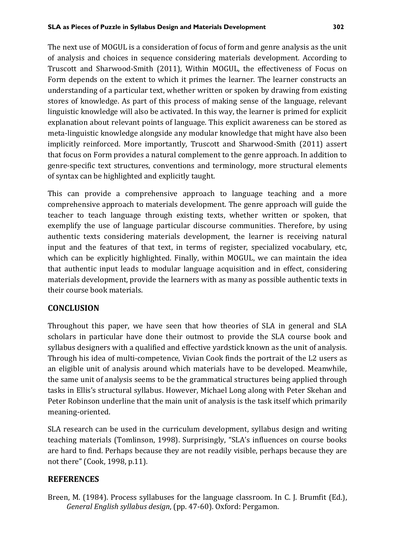The next use of MOGUL is a consideration of focus of form and genre analysis as the unit of analysis and choices in sequence considering materials development. According to Truscott and Sharwood-Smith (2011), Within MOGUL, the effectiveness of Focus on Form depends on the extent to which it primes the learner. The learner constructs an understanding of a particular text, whether written or spoken by drawing from existing stores of knowledge. As part of this process of making sense of the language, relevant linguistic knowledge will also be activated. In this way, the learner is primed for explicit explanation about relevant points of language. This explicit awareness can be stored as meta-linguistic knowledge alongside any modular knowledge that might have also been implicitly reinforced. More importantly, Truscott and Sharwood-Smith (2011) assert that focus on Form provides a natural complement to the genre approach. In addition to genre-specific text structures, conventions and terminology, more structural elements of syntax can be highlighted and explicitly taught.

This can provide a comprehensive approach to language teaching and a more comprehensive approach to materials development. The genre approach will guide the teacher to teach language through existing texts, whether written or spoken, that exemplify the use of language particular discourse communities. Therefore, by using authentic texts considering materials development, the learner is receiving natural input and the features of that text, in terms of register, specialized vocabulary, etc, which can be explicitly highlighted. Finally, within MOGUL, we can maintain the idea that authentic input leads to modular language acquisition and in effect, considering materials development, provide the learners with as many as possible authentic texts in their course book materials.

## **CONCLUSION**

Throughout this paper, we have seen that how theories of SLA in general and SLA scholars in particular have done their outmost to provide the SLA course book and syllabus designers with a qualified and effective yardstick known as the unit of analysis. Through his idea of multi-competence, Vivian Cook finds the portrait of the L2 users as an eligible unit of analysis around which materials have to be developed. Meanwhile, the same unit of analysis seems to be the grammatical structures being applied through tasks in Ellis's structural syllabus. However, Michael Long along with Peter Skehan and Peter Robinson underline that the main unit of analysis is the task itself which primarily meaning-oriented.

SLA research can be used in the curriculum development, syllabus design and writing teaching materials (Tomlinson, 1998). Surprisingly, "SLA's influences on course books are hard to find. Perhaps because they are not readily visible, perhaps because they are not there" (Cook, 1998, p.11).

# **REFERENCES**

Breen, M. (1984). Process syllabuses for the language classroom. In C. J. Brumfit (Ed.), *General English syllabus design*, (pp. 47-60). Oxford: Pergamon.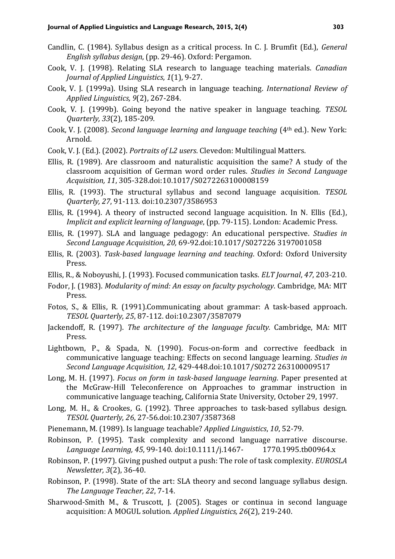- Candlin, C. (1984). Syllabus design as a critical process. In C. J. Brumfit (Ed.), *General English syllabus design*, (pp. 29-46). Oxford: Pergamon.
- Cook, V. J. (1998). Relating SLA research to language teaching materials. *Canadian Journal of Applied Linguistics*, *1*(1), 9-27.
- Cook, V. J. (1999a). Using SLA research in language teaching. *International Review of Applied Linguistics, 9*(2), 267-284.
- Cook, V. J. (1999b). Going beyond the native speaker in language teaching. *TESOL Quarterly, 33*(2), 185-209.
- Cook, V. J. (2008). *Second language learning and language teaching* (4th ed.). New York: Arnold.
- Cook, V. J. (Ed.). (2002). *Portraits of L2 users*. Clevedon: Multilingual Matters.
- Ellis, R. (1989). Are classroom and naturalistic acquisition the same? A study of the classroom acquisition of German word order rules. *Studies in Second Language Acquisition, 11*, 305-328.doi:10.1017/S0272263100008159
- Ellis, R. (1993). The structural syllabus and second language acquisition. *TESOL Quarterly, 27*, 91-113. doi:10.2307/3586953
- Ellis, R. (1994). A theory of instructed second language acquisition. In N. Ellis (Ed.), *Implicit and explicit learning of language*, (pp. 79-115). London: Academic Press.
- Ellis, R. (1997). SLA and language pedagogy: An educational perspective. *Studies in Second Language Acquisition, 20,* 69-92.doi:10.1017/S027226 3197001058
- Ellis, R. (2003). *Task-based language learning and teaching*. Oxford: Oxford University Press.
- Ellis, R., & Noboyushi, J. (1993). Focused communication tasks. *ELT Journal*, *47*, 203-210.
- Fodor, J. (1983). *Modularity of mind: An essay on faculty psychology*. Cambridge, MA: MIT Press.
- Fotos, S., & Ellis, R. (1991).Communicating about grammar: A task-based approach. *TESOL Quarterly, 25*, 87-112. doi:10.2307/3587079
- Jackendoff, R. (1997). *The architecture of the language faculty.* Cambridge, MA: MIT Press.
- Lightbown, P., & Spada, N. (1990). Focus-on-form and corrective feedback in communicative language teaching: Effects on second language learning. *Studies in Second Language Acquisition, 12*, 429-448.doi:10.1017/S0272 263100009517
- Long, M. H. (1997). *Focus on form in task-based language learning*. Paper presented at the McGraw-Hill Teleconference on Approaches to grammar instruction in communicative language teaching, California State University, October 29, 1997.
- Long, M. H., & Crookes, G. (1992). Three approaches to task-based syllabus design. *TESOL Quarterly, 26*, 27-56.doi:10.2307/3587368
- Pienemann, M. (1989). Is language teachable? *Applied Linguistics*, *10*, 52-79.
- Robinson, P. (1995). Task complexity and second language narrative discourse. *Language Learning, 45*, 99-140. doi:10.1111/j.1467- 1770.1995.tb00964.x
- Robinson, P. (1997). Giving pushed output a push: The role of task complexity. *EUROSLA Newsletter, 3*(2), 36-40.
- Robinson, P. (1998). State of the art: SLA theory and second language syllabus design. *The Language Teacher, 22*, 7-14.
- Sharwood-Smith M., & Truscott, J. (2005). Stages or continua in second language acquisition: A MOGUL solution. *Applied Linguistics, 26*(2), 219-240.